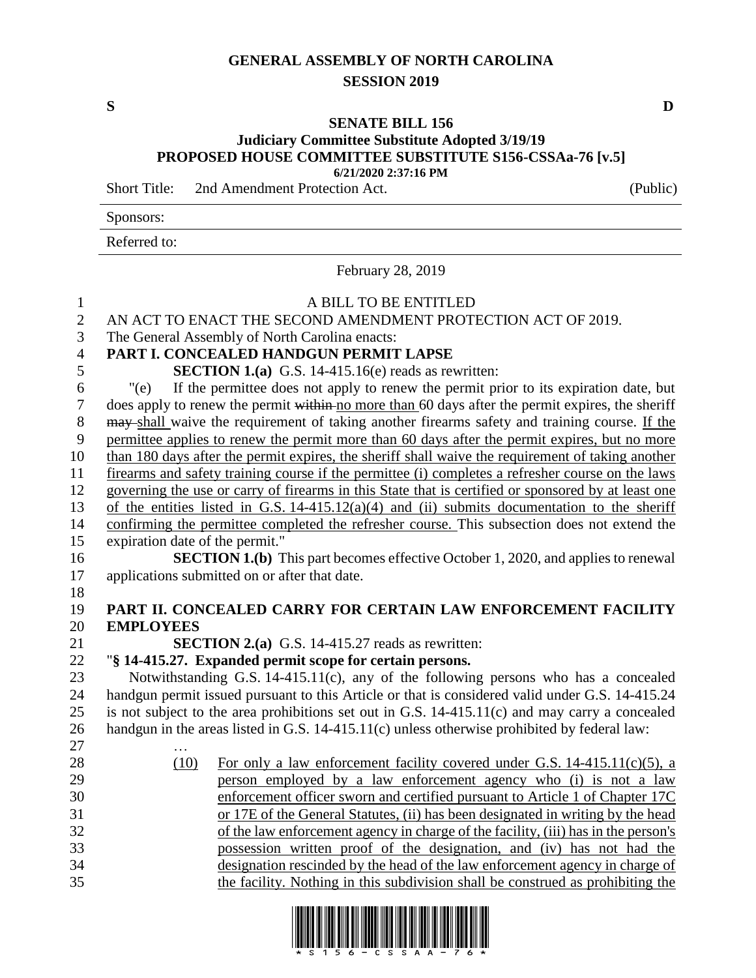## **GENERAL ASSEMBLY OF NORTH CAROLINA SESSION 2019**

## **SENATE BILL 156**

## **Judiciary Committee Substitute Adopted 3/19/19 PROPOSED HOUSE COMMITTEE SUBSTITUTE S156-CSSAa-76 [v.5] 6/21/2020 2:37:16 PM**

Short Title: 2nd Amendment Protection Act. (Public)

Sponsors:

Referred to:

February 28, 2019

## A BILL TO BE ENTITLED 2 AN ACT TO ENACT THE SECOND AMENDMENT PROTECTION ACT OF 2019. The General Assembly of North Carolina enacts: **PART I. CONCEALED HANDGUN PERMIT LAPSE SECTION 1.(a)** G.S. 14-415.16(e) reads as rewritten: "(e) If the permittee does not apply to renew the permit prior to its expiration date, but does apply to renew the permit within no more than 60 days after the permit expires, the sheriff 8 may shall waive the requirement of taking another firearms safety and training course. If the permittee applies to renew the permit more than 60 days after the permit expires, but no more than 180 days after the permit expires, the sheriff shall waive the requirement of taking another firearms and safety training course if the permittee (i) completes a refresher course on the laws governing the use or carry of firearms in this State that is certified or sponsored by at least one of the entities listed in G.S. 14-415.12(a)(4) and (ii) submits documentation to the sheriff confirming the permittee completed the refresher course. This subsection does not extend the expiration date of the permit." **SECTION 1.(b)** This part becomes effective October 1, 2020, and applies to renewal applications submitted on or after that date. **PART II. CONCEALED CARRY FOR CERTAIN LAW ENFORCEMENT FACILITY EMPLOYEES SECTION 2.(a)** G.S. 14-415.27 reads as rewritten: "**§ 14-415.27. Expanded permit scope for certain persons.** Notwithstanding G.S. 14-415.11(c), any of the following persons who has a concealed handgun permit issued pursuant to this Article or that is considered valid under G.S. 14-415.24 is not subject to the area prohibitions set out in G.S. 14-415.11(c) and may carry a concealed handgun in the areas listed in G.S. 14-415.11(c) unless otherwise prohibited by federal law: … 28 (10) For only a law enforcement facility covered under G.S. 14-415.11(c)(5), a person employed by a law enforcement agency who (i) is not a law enforcement officer sworn and certified pursuant to Article 1 of Chapter 17C or 17E of the General Statutes, (ii) has been designated in writing by the head of the law enforcement agency in charge of the facility, (iii) has in the person's possession written proof of the designation, and (iv) has not had the designation rescinded by the head of the law enforcement agency in charge of the facility. Nothing in this subdivision shall be construed as prohibiting the

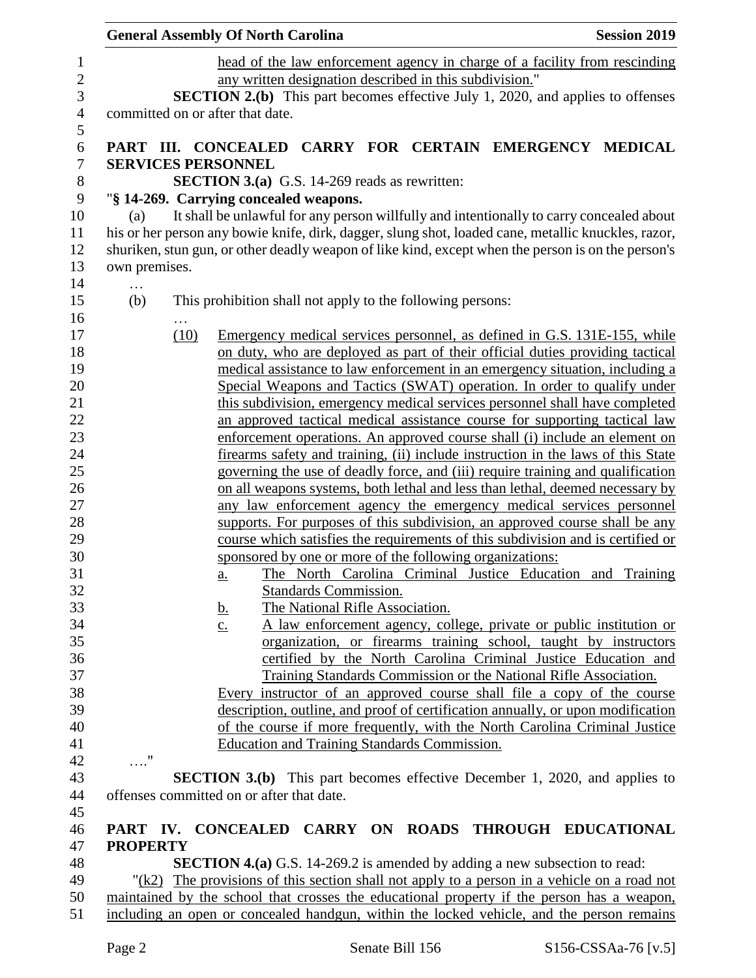|                 |                                                                                           | <b>General Assembly Of North Carolina</b>                                                                                                                                                       | <b>Session 2019</b> |  |  |
|-----------------|-------------------------------------------------------------------------------------------|-------------------------------------------------------------------------------------------------------------------------------------------------------------------------------------------------|---------------------|--|--|
|                 |                                                                                           | head of the law enforcement agency in charge of a facility from rescinding                                                                                                                      |                     |  |  |
|                 |                                                                                           | any written designation described in this subdivision."                                                                                                                                         |                     |  |  |
|                 |                                                                                           | <b>SECTION 2.(b)</b> This part becomes effective July 1, 2020, and applies to offenses                                                                                                          |                     |  |  |
|                 |                                                                                           | committed on or after that date.                                                                                                                                                                |                     |  |  |
|                 |                                                                                           |                                                                                                                                                                                                 |                     |  |  |
|                 |                                                                                           | PART III. CONCEALED CARRY FOR CERTAIN EMERGENCY MEDICAL                                                                                                                                         |                     |  |  |
|                 | <b>SERVICES PERSONNEL</b>                                                                 |                                                                                                                                                                                                 |                     |  |  |
|                 |                                                                                           | <b>SECTION 3.(a)</b> G.S. 14-269 reads as rewritten:                                                                                                                                            |                     |  |  |
|                 |                                                                                           | "§ 14-269. Carrying concealed weapons.                                                                                                                                                          |                     |  |  |
| (a)             |                                                                                           | It shall be unlawful for any person willfully and intentionally to carry concealed about<br>his or her person any bowie knife, dirk, dagger, slung shot, loaded cane, metallic knuckles, razor, |                     |  |  |
|                 |                                                                                           | shuriken, stun gun, or other deadly weapon of like kind, except when the person is on the person's                                                                                              |                     |  |  |
| own premises.   |                                                                                           |                                                                                                                                                                                                 |                     |  |  |
| .               |                                                                                           |                                                                                                                                                                                                 |                     |  |  |
| (b)             |                                                                                           | This prohibition shall not apply to the following persons:                                                                                                                                      |                     |  |  |
|                 |                                                                                           |                                                                                                                                                                                                 |                     |  |  |
|                 | (10)                                                                                      | Emergency medical services personnel, as defined in G.S. 131E-155, while                                                                                                                        |                     |  |  |
|                 |                                                                                           | on duty, who are deployed as part of their official duties providing tactical                                                                                                                   |                     |  |  |
|                 |                                                                                           | medical assistance to law enforcement in an emergency situation, including a                                                                                                                    |                     |  |  |
|                 |                                                                                           | Special Weapons and Tactics (SWAT) operation. In order to qualify under                                                                                                                         |                     |  |  |
|                 |                                                                                           | this subdivision, emergency medical services personnel shall have completed                                                                                                                     |                     |  |  |
|                 |                                                                                           | an approved tactical medical assistance course for supporting tactical law                                                                                                                      |                     |  |  |
|                 |                                                                                           | enforcement operations. An approved course shall (i) include an element on<br>firearms safety and training, (ii) include instruction in the laws of this State                                  |                     |  |  |
|                 |                                                                                           | governing the use of deadly force, and (iii) require training and qualification                                                                                                                 |                     |  |  |
|                 |                                                                                           | on all weapons systems, both lethal and less than lethal, deemed necessary by                                                                                                                   |                     |  |  |
|                 |                                                                                           | any law enforcement agency the emergency medical services personnel                                                                                                                             |                     |  |  |
|                 |                                                                                           | supports. For purposes of this subdivision, an approved course shall be any                                                                                                                     |                     |  |  |
|                 |                                                                                           | course which satisfies the requirements of this subdivision and is certified or                                                                                                                 |                     |  |  |
|                 |                                                                                           | sponsored by one or more of the following organizations:                                                                                                                                        |                     |  |  |
|                 |                                                                                           | The North Carolina Criminal Justice Education and Training<br>a.                                                                                                                                |                     |  |  |
|                 |                                                                                           | <b>Standards Commission.</b>                                                                                                                                                                    |                     |  |  |
|                 |                                                                                           | The National Rifle Association.<br><u>b.</u>                                                                                                                                                    |                     |  |  |
|                 |                                                                                           | A law enforcement agency, college, private or public institution or<br>$\underline{c}$ .                                                                                                        |                     |  |  |
|                 |                                                                                           | organization, or firearms training school, taught by instructors                                                                                                                                |                     |  |  |
|                 |                                                                                           | certified by the North Carolina Criminal Justice Education and                                                                                                                                  |                     |  |  |
|                 |                                                                                           | <b>Training Standards Commission or the National Rifle Association.</b>                                                                                                                         |                     |  |  |
|                 |                                                                                           | Every instructor of an approved course shall file a copy of the course                                                                                                                          |                     |  |  |
|                 |                                                                                           | description, outline, and proof of certification annually, or upon modification                                                                                                                 |                     |  |  |
|                 |                                                                                           | of the course if more frequently, with the North Carolina Criminal Justice                                                                                                                      |                     |  |  |
| $\ldots$ "      |                                                                                           | Education and Training Standards Commission.                                                                                                                                                    |                     |  |  |
|                 |                                                                                           | <b>SECTION 3.(b)</b> This part becomes effective December 1, 2020, and applies to                                                                                                               |                     |  |  |
|                 |                                                                                           | offenses committed on or after that date.                                                                                                                                                       |                     |  |  |
|                 |                                                                                           |                                                                                                                                                                                                 |                     |  |  |
|                 |                                                                                           | PART IV. CONCEALED CARRY ON ROADS THROUGH EDUCATIONAL                                                                                                                                           |                     |  |  |
| <b>PROPERTY</b> |                                                                                           |                                                                                                                                                                                                 |                     |  |  |
|                 |                                                                                           | <b>SECTION 4.(a)</b> G.S. 14-269.2 is amended by adding a new subsection to read:                                                                                                               |                     |  |  |
|                 |                                                                                           | " $(k2)$ The provisions of this section shall not apply to a person in a vehicle on a road not                                                                                                  |                     |  |  |
|                 |                                                                                           | maintained by the school that crosses the educational property if the person has a weapon,                                                                                                      |                     |  |  |
|                 | including an open or concealed handgun, within the locked vehicle, and the person remains |                                                                                                                                                                                                 |                     |  |  |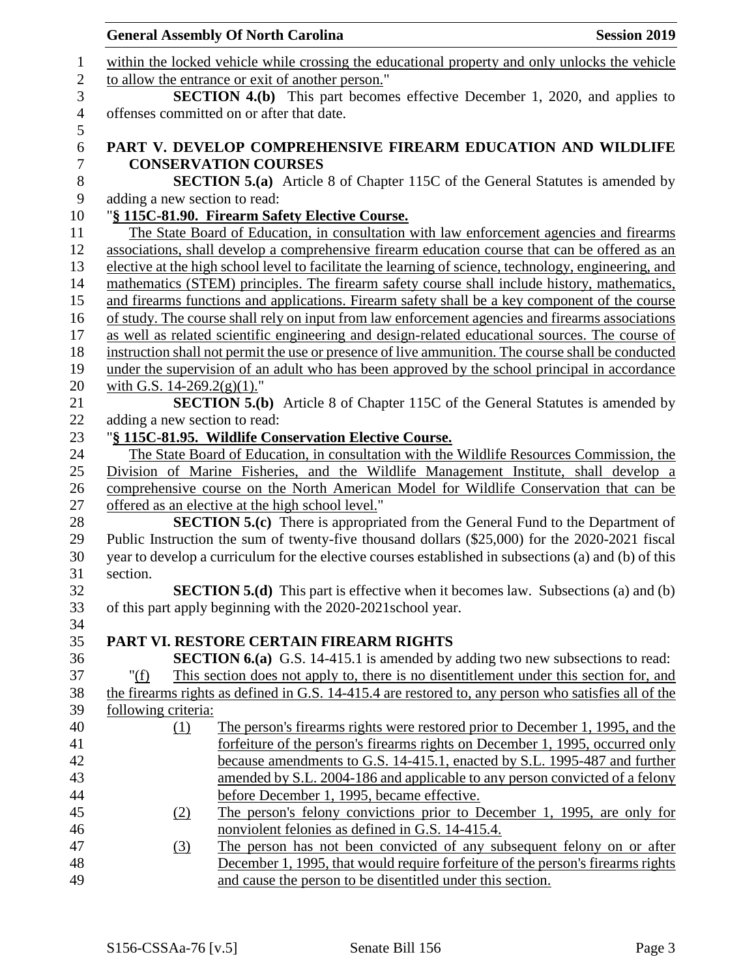|                       |                               | <b>General Assembly Of North Carolina</b>                                                                                       | <b>Session 2019</b> |
|-----------------------|-------------------------------|---------------------------------------------------------------------------------------------------------------------------------|---------------------|
| $\mathbf{1}$          |                               | within the locked vehicle while crossing the educational property and only unlocks the vehicle                                  |                     |
| $\sqrt{2}$            |                               | to allow the entrance or exit of another person."                                                                               |                     |
| 3                     |                               | <b>SECTION 4.(b)</b> This part becomes effective December 1, 2020, and applies to                                               |                     |
| $\overline{4}$<br>5   |                               | offenses committed on or after that date.                                                                                       |                     |
| 6                     |                               | PART V. DEVELOP COMPREHENSIVE FIREARM EDUCATION AND WILDLIFE                                                                    |                     |
| $\boldsymbol{7}$      |                               | <b>CONSERVATION COURSES</b>                                                                                                     |                     |
| $8\,$<br>$\mathbf{9}$ | adding a new section to read: | <b>SECTION 5.(a)</b> Article 8 of Chapter 115C of the General Statutes is amended by                                            |                     |
| 10                    |                               | "§ 115C-81.90. Firearm Safety Elective Course.                                                                                  |                     |
| 11                    |                               |                                                                                                                                 |                     |
|                       |                               | The State Board of Education, in consultation with law enforcement agencies and firearms                                        |                     |
| 12                    |                               | associations, shall develop a comprehensive firearm education course that can be offered as an                                  |                     |
| 13                    |                               | elective at the high school level to facilitate the learning of science, technology, engineering, and                           |                     |
| 14                    |                               | mathematics (STEM) principles. The firearm safety course shall include history, mathematics,                                    |                     |
| 15                    |                               | and firearms functions and applications. Firearm safety shall be a key component of the course                                  |                     |
| 16                    |                               | of study. The course shall rely on input from law enforcement agencies and firearms associations                                |                     |
| 17                    |                               | as well as related scientific engineering and design-related educational sources. The course of                                 |                     |
| 18                    |                               | instruction shall not permit the use or presence of live ammunition. The course shall be conducted                              |                     |
| 19                    |                               | under the supervision of an adult who has been approved by the school principal in accordance                                   |                     |
| 20                    | with G.S. $14-269.2(g)(1)$ ." |                                                                                                                                 |                     |
| 21                    |                               | <b>SECTION 5.(b)</b> Article 8 of Chapter 115C of the General Statutes is amended by                                            |                     |
| 22                    | adding a new section to read: |                                                                                                                                 |                     |
| 23                    |                               | "§ 115C-81.95. Wildlife Conservation Elective Course.                                                                           |                     |
| 24                    |                               | The State Board of Education, in consultation with the Wildlife Resources Commission, the                                       |                     |
| 25                    |                               | Division of Marine Fisheries, and the Wildlife Management Institute, shall develop a                                            |                     |
| 26                    |                               | comprehensive course on the North American Model for Wildlife Conservation that can be                                          |                     |
| 27                    |                               | offered as an elective at the high school level."                                                                               |                     |
| 28                    |                               | <b>SECTION 5.(c)</b> There is appropriated from the General Fund to the Department of                                           |                     |
| 29                    |                               | Public Instruction the sum of twenty-five thousand dollars (\$25,000) for the 2020-2021 fiscal                                  |                     |
| 30                    |                               | year to develop a curriculum for the elective courses established in subsections (a) and (b) of this                            |                     |
| 31                    | section.                      |                                                                                                                                 |                     |
| 32                    |                               | <b>SECTION 5.(d)</b> This part is effective when it becomes law. Subsections (a) and (b)                                        |                     |
| 33                    |                               | of this part apply beginning with the 2020-2021 school year.                                                                    |                     |
| 34                    |                               |                                                                                                                                 |                     |
| 35                    |                               | PART VI. RESTORE CERTAIN FIREARM RIGHTS<br><b>SECTION 6.(a)</b> G.S. 14-415.1 is amended by adding two new subsections to read: |                     |
| 36<br>37              | " $(f)$                       | This section does not apply to, there is no disentitlement under this section for, and                                          |                     |
|                       |                               |                                                                                                                                 |                     |
| 38<br>39              | following criteria:           | the firearms rights as defined in G.S. 14-415.4 are restored to, any person who satisfies all of the                            |                     |
| 40                    |                               | The person's firearms rights were restored prior to December 1, 1995, and the                                                   |                     |
| 41                    | $\Omega$                      | forfeiture of the person's firearms rights on December 1, 1995, occurred only                                                   |                     |
| 42                    |                               | because amendments to G.S. 14-415.1, enacted by S.L. 1995-487 and further                                                       |                     |
| 43                    |                               | amended by S.L. 2004-186 and applicable to any person convicted of a felony                                                     |                     |
| 44                    |                               | before December 1, 1995, became effective.                                                                                      |                     |
| 45                    |                               | The person's felony convictions prior to December 1, 1995, are only for                                                         |                     |
| 46                    | <u>(2)</u>                    | nonviolent felonies as defined in G.S. 14-415.4.                                                                                |                     |
| 47                    | (3)                           | The person has not been convicted of any subsequent felony on or after                                                          |                     |
| 48                    |                               | December 1, 1995, that would require forfeiture of the person's firearms rights                                                 |                     |
| 49                    |                               | and cause the person to be disentitled under this section.                                                                      |                     |
|                       |                               |                                                                                                                                 |                     |